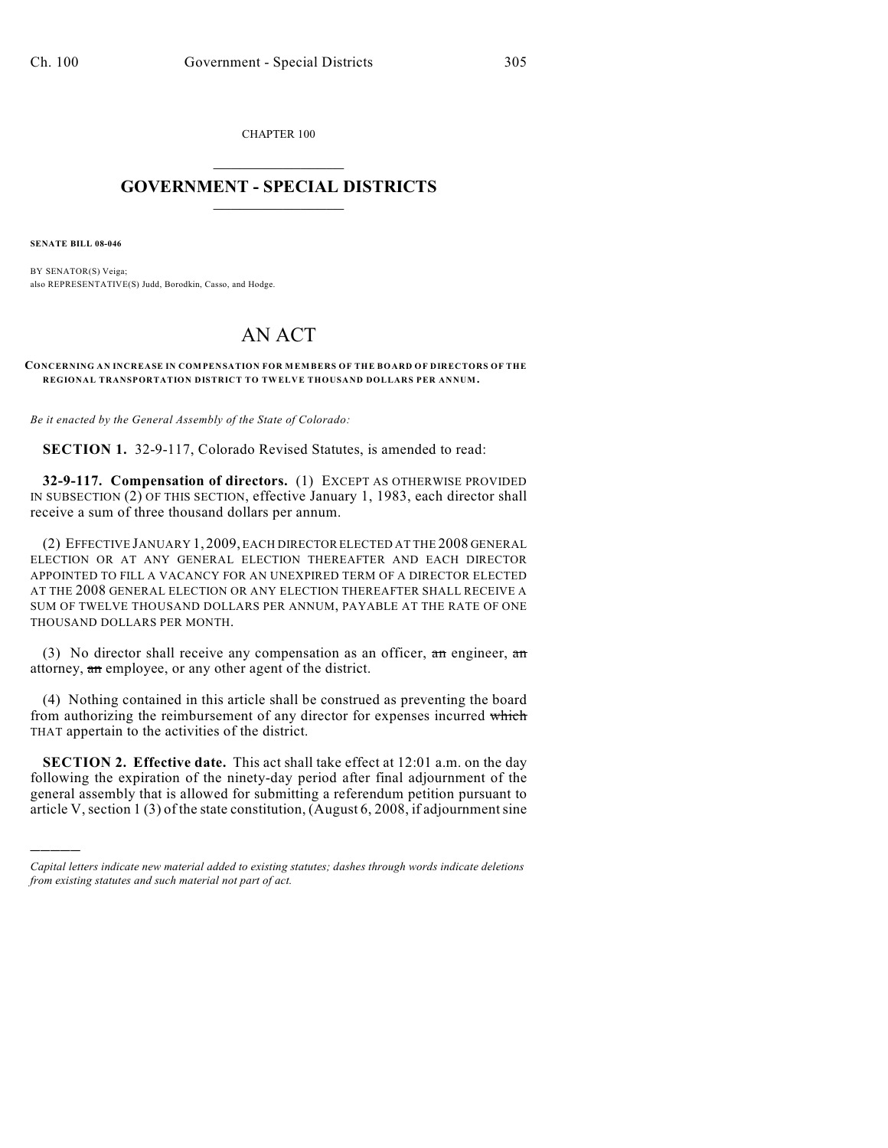CHAPTER 100  $\mathcal{L}_\text{max}$  . The set of the set of the set of the set of the set of the set of the set of the set of the set of the set of the set of the set of the set of the set of the set of the set of the set of the set of the set

## **GOVERNMENT - SPECIAL DISTRICTS**  $\_$

**SENATE BILL 08-046**

)))))

BY SENATOR(S) Veiga; also REPRESENTATIVE(S) Judd, Borodkin, Casso, and Hodge.

## AN ACT

**CONCERNING AN INCREASE IN COMPENSATION FOR MEMBERS OF THE BOARD OF DIRECTORS OF THE REGIONAL TRANSPORTATION DISTRICT TO TWELVE THOUSAND DOLLARS PER ANNUM.**

*Be it enacted by the General Assembly of the State of Colorado:*

**SECTION 1.** 32-9-117, Colorado Revised Statutes, is amended to read:

**32-9-117. Compensation of directors.** (1) EXCEPT AS OTHERWISE PROVIDED IN SUBSECTION (2) OF THIS SECTION, effective January 1, 1983, each director shall receive a sum of three thousand dollars per annum.

(2) EFFECTIVE JANUARY 1, 2009, EACH DIRECTOR ELECTED AT THE 2008 GENERAL ELECTION OR AT ANY GENERAL ELECTION THEREAFTER AND EACH DIRECTOR APPOINTED TO FILL A VACANCY FOR AN UNEXPIRED TERM OF A DIRECTOR ELECTED AT THE 2008 GENERAL ELECTION OR ANY ELECTION THEREAFTER SHALL RECEIVE A SUM OF TWELVE THOUSAND DOLLARS PER ANNUM, PAYABLE AT THE RATE OF ONE THOUSAND DOLLARS PER MONTH.

(3) No director shall receive any compensation as an officer,  $\pi n$  engineer,  $\pi n$ attorney, an employee, or any other agent of the district.

(4) Nothing contained in this article shall be construed as preventing the board from authorizing the reimbursement of any director for expenses incurred which THAT appertain to the activities of the district.

**SECTION 2. Effective date.** This act shall take effect at 12:01 a.m. on the day following the expiration of the ninety-day period after final adjournment of the general assembly that is allowed for submitting a referendum petition pursuant to article V, section 1 (3) of the state constitution, (August 6, 2008, if adjournment sine

*Capital letters indicate new material added to existing statutes; dashes through words indicate deletions from existing statutes and such material not part of act.*